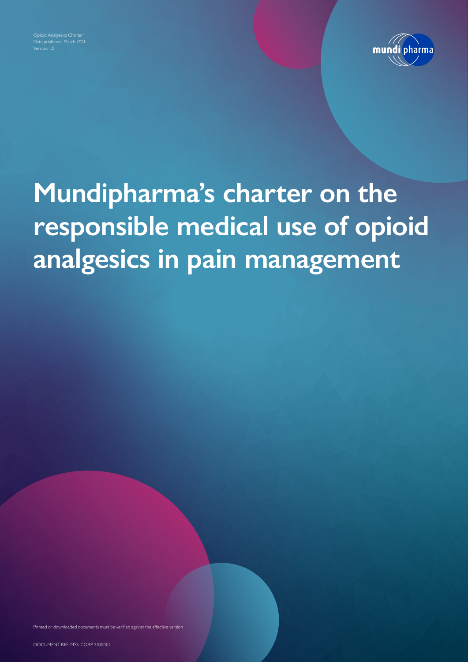Date published: March 2021



## **Mundipharma's charter on the responsible medical use of opioid analgesics in pain management**

Printed or downloaded documents must be verified against the effective version

DOCUMENT REF: MSS-CORP-2100001